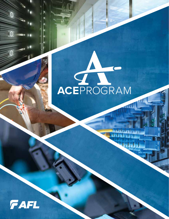# ACEPROGRAM

 $\mathbf{1}$  ,  $\mathbf{1}$ ,  $\mathbf{1}$ ,  $\mathbf{1}$ ,  $\mathbf{1}$ 

nhaha

ah La I

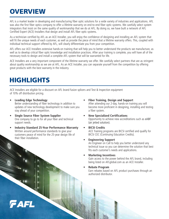# **OVERVIEW**

AFL is a market leader in developing and manufacturing fiber optic solutions for a wide variety of industries and applications. AFL was also the first fiber optics company to offer a lifetime warranty on end-to-end fiber optic systems. We carefully select system integrators that insist on the same quality of workmanship that we do at AFL. By doing so, we have built a network of AFL Certified Expert (ACE) Installers that design and install AFL fiber optic systems.

As a technician certified by AFL as an ACE Installer, you will enjoy the confidence of designing and installing an AFL system that will fit the unique needs of each customer, as well as provide the piece of mind that a lifetime warranty offers. This, coupled with individual technical support offered by AFL, will clearly differentiate you from your competition.

AFL offers our ACE Installers extensive hands-on training that will help you to better understand the products we manufacture, as well as to develop critical fiber optic knowledge and installation practices. After your training is complete, you will have all of the necessary tools to design and install a complete AFL system that will be warranted for life.

ACE Installers are a very important component of the lifetime warranty we offer. We carefully select partners that are as stringent about quality workmanship as we are at AFL. As an ACE Installer, you can separate yourself from the competition by offering great products with the best warranty in the industry.

# HIGHLIGHTS

FAFL

ACE Installers are eligible for a discount on AFL brand fusion splicers and Test & Inspection equipment of 10% off distribution pricing.

- **• Leading Edge Technology** Better understanding of fiber technology in addition to updates of new technology development to make sure you stay ahead of your competition.
- **• Single Source Fiber System Supplier** One company to go to for all your fiber and technical support needs.
- **• Industry Standard 25-Year Performance Warranty** Written around performance standards to give your customers peace of mind for the 25-year design life of their fiber installation.
- **• Fiber Training, Design and Support** After attending our 2-day, hands-on training you will become more proficient in designing, installing and testing a fiber system.
- **• New Specialized Certifications** Opportunity to achieve new accreditations such as eABF (air jetted solution).
- **• BICSI Credits**

ACE Training programs are BICSI certified and qualify for BICSI CEC (Continuing Education Credits).

**• Engineering Support**

An Engineer on Call to help you better understand any technical issue so you can determine the solution that best fits each customer's needs and applications.

**• Marketing Incentives**

Gain access to the power behind the AFL brand, including being listed on AFLglobal.com as an ACE Installer.

**• Rebate Program**

Earn rebates based on AFL product purchases through an authorized distributor.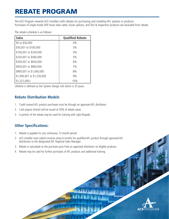# REBATE PROGRAM

The ACE Program rewards ACE Installers with rebates for purchasing and installing AFL systems or products. Purchases of single-mode OSP loose tube cable, fusion splicers, and Test & Inspection products are excluded from rebate.

The rebate schedule is as follows:

| <b>Sales</b>               | <b>Qualified Rebate</b> |
|----------------------------|-------------------------|
| \$0 to \$50,000            | $0\%$                   |
| \$50,001 to \$100,000      | 3%                      |
| \$100,001 to \$250,000     | 4%                      |
| \$250,001 to \$400,000     | 5%                      |
| \$500,001 to \$650,000     | 6%                      |
| \$650,001 to \$800,000     | 7%                      |
| \$800,001 to \$1,000,000   | 8%                      |
| \$1,000,001 to \$1,250,000 | 9%                      |
| $$1,251,000+$              | 10%                     |

Lifetime is defined as the System Design Life which is 25 years.

## **Rebate Distribution Models**

- 1. Credit toward AFL product purchases must be through an approved AFL distributor.
- 2. Cash payout (check) will be issued at 50% of rebate value.
- 3. A portion of the rebate may be used for training with Light Brigade.

## **Other Specifications:**

- 1. Rebate is payable for any continuous 12-month period.
- 2. ACE Installer must submit invoices every 6 months for qualified AFL product through approved AFL distributors to the designated AFL Regional Sales Manager.
- 3. Rebate is calculated on the purchase price from an approved distributor on eligible products.
- 4. Rebate may be used for further purchases of AFL products and additional training.

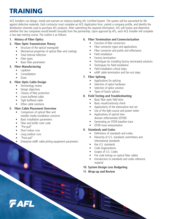# TRAINING

ACE Installers can design, install and warrant an industry leading AFL Certified System. The system will be warranted for life against defective materials. Each contractor must complete an ACE Application form, submit a company profile, and identify the distribution channels used to purchase AFL products. After submitting the required information, AFL will review and determine whether the two companies would benefit mutually from the partnership. Upon approval by AFL, each ACE Installer will complete a two-day training course. The outline is as follows:

#### **1. History of Fiber Optics**

#### **2. Fiber Optic Transmission Theory**

- Structure of the optical wavequide
- Mechanical properties of optical fiber and coatings
- Total internal reflection
- Fiber types
- Basic fiber parameters

#### **3. Fiber Manufacturing**

- Laydown
- Consolidation
- Draw

#### **4. Fiber Optic Cable Design**

- Terminology review
- Design objectives
- Classes of fiber protection
- Loose buffered cable
- Tight buffered cable
- Other cable solutions

#### **5. Fiber Cable Placement Overview**

- Comparison of optical fiber and metallic media installation concerns
- Basic installation parameters
- Fiber and buffer color code
- "Pre-pull"
- Short indoor runs
- Long outdoor runs
- "Post-pull"
- Enterprise eABF cable jetting equipment parameters

#### **6. Fiber Termination and Connectorization**

- Function of fiber connectors
- Fiber connector types and applications
- Fiber connector end polish and reflectance
- Field installation
- Factory termination
- Techniques for installing factory terminated solutions
- Techniques for field installation
- Field installation critical steps
- eABF cable termination and fan-out steps

#### **7. Fiber Splicing**

- Applications for splicing
- Selection of splice hardware
- Selection of splice solution
- Types of fusion splicers

#### **8. Field Testing and Troubleshooting**

- Basic fiber optic field tests
- Basic visual/continuity check
- Applications of the attenuation test set
- Use of the light source and power meter
- Applications of optical time domain reflectometer (OTDR)
- Generating an OTDR baseline trace
- OTDR trace interpretation

#### **9. Standards and Codes**

- Definitions of standards and codes.
- Hierarchy of U.S. standards committees and international standards
- Key U.S. standards
- Code Organizations
- Scopes of U.S. Codes
- Fire code listings on optical fiber cables
- Introduction to standards and codes reference material
- **10. System Design Loss Budgeting**
- **11. Wrap-up and Review**

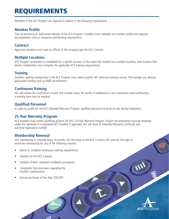# REQUIREMENTS

Members of the ACE Program are required to adhere to the following requirements:

## **Member Profile**

Prior to becoming an authorized member of the ACE Program, installers must complete the member profile and required documentation such as insurance and bonding requirements.

#### **Contract**

Approved members must have an official of the company sign the ACE Contract.

## **Multiple Locations**

ACE Program certification is completed for a specific location. In the event the installer has multiple locations, each location that desires membership must complete the applicable ACE training requirements.

## **Training**

Installers seeking membership in the ACE Program must attend specific AFL technical training courses. This includes any desired specialized training such as eABF accreditation.

## **Continuous Training**

AFL will review the certification of each ACE Installer every 18 months. If additional or new technicians need certification, a training class may be required.

#### **Qualified Personnel**

In order to qualify for the ACE Extended Warranty Program, qualified personnel must be on-site during installation.

#### **25-Year Warranty Program**

ACE Installers may submit qualifying projects for AFL's 25-Year Warranty Program. Project documentation must be reviewed under the signature of a registered ACE Installer. If approved, AFL will issue an Extended Warranty Certificate and warranty registration number.

#### **Membership Renewal**

ACE membership is renewed every 18 months. Per the terms of the ACE Contract, AFL reserves the right to terminate membership for any of the following reasons:

- Failure to complete continuous training requirements
- Violation of the ACE Contract
- Violation of AFL's standard installation procedures
- Complaints from end-users regarding the installer's performance
- Annual purchases of less than \$50,000

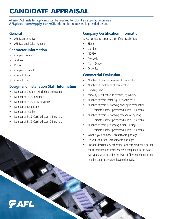# CANDIDATE APPRAISAL

All new ACE Installer applicants will be required to submit an application online at: **[AFLglobal.com/Apply-for-ACE](http://AFLglobal.com/Apply-for-ACE)**. Information requested is provided below.

## **General**

- AFL Representative
- AFL Regional Sales Manager

## **Contractor Information**

- Company Name
- **Address**
- Phone
- Company Contact
- Contact Phone
- Contact Email

## **Design and Installation Staff Information**

- Number of Designers (including estimators)
- Number of RCDD designers
- Number of RCDD-LAN designers
- Number of Technicians
- Number of Installers

FAFL

- Number of BICSI Certified Level 1 Installers
- Number of BICSI Certified Level 2 Installers

## **Company Certification Information**

Is your company currently a certified installer for:

- Siemon
- Corning
- NORDX
- Mohawk
- CommScope
- **Ortronics**

## **Commercial Evaluation**

- Number of years in business at this location
- Number of employees at this location
- Bonding Limit
- Minority Certification-If certified, by whom?
- Number of years installing fiber optic cable
- Number of years performing fiber optic termination Estimate number performed in last 12 months
- Number of years performing mechanical splicing Estimate number performed in last 12 months
- Number or years performing fusion splicing Estimate number performed in last 12 months
- What is your primary CAD software package?
- Do you use other CAD software packages?
- List and describe any other fiber optic training courses that the technicians and installers have completed in the past two years. Also describe the level of fiber experience of the installers and technicians have collectively.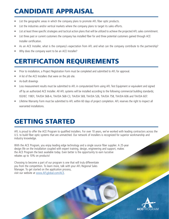# CANDIDATE APPRAISAL

- List the geographic areas in which the company plans to promote AFL fiber optic products.
- List the industries and/or vertical markets where the company plans to target its sales efforts.
- List at least three specific strategies and tactical action plans that will be utilized to achieve the projected AFL sales commitment.
- List three past or current customers the company has installed fiber for and three potential customers gained through ACE Installer certification.
- As an ACE Installer, what is the company's expectation from AFL and what can the company contribute to the partnership?
- Why does the company want to be an ACE Installer?

## CERTIFICATION REQUIREMENTS

- Prior to installation, a Project Registration Form must be completed and submitted to AFL for approval.
- A list of the ACE Installers that were on the job site.
- As-built drawings
- Loss measurement results must be submitted to AFL in computerized form using AFL Test Equipment or equivalent and signed off by an authorized ACE Installer. All AFL systems will be installed according to the following commercial building standards; ISO/IEC 11801, TIA/EIA 568-A, TIA/EIA 568-C3, TIA/EIA 569, TIA/EIA 526, TIA/EIA 758, TIA/EIA 606 and TIA/EIA 607.
- Lifetime Warranty Form must be submitted to AFL within 60 days of project completion. AFL reserves the right to inspect all warranted installations.

# GETTING STARTED

AFL is proud to offer the ACE Program to qualified installers. For over 10 years, we've worked with leading contractors across the U.S. to build fiber optic systems that are unmatched. Our network of installers is recognized for superior workmanship and industry knowledge.

With the ACE Program, you enjoy leading edge technology and a single source fiber supplier. A 25-year design life on the installation coupled with expert training, design, engineering and support, makes the ACE Program the best available today. Even better is the opportunity to earn lucrative rebates up to 10% on products!

Choosing to become a part of our program is one that will truly differentiate you from the competition. To learn more, talk with your AFL Regional Sales Manager. To get started on the application process, visit our website at [www.AFLglobal.com/ACE.](http://www.AFLglobal.com/ACE)